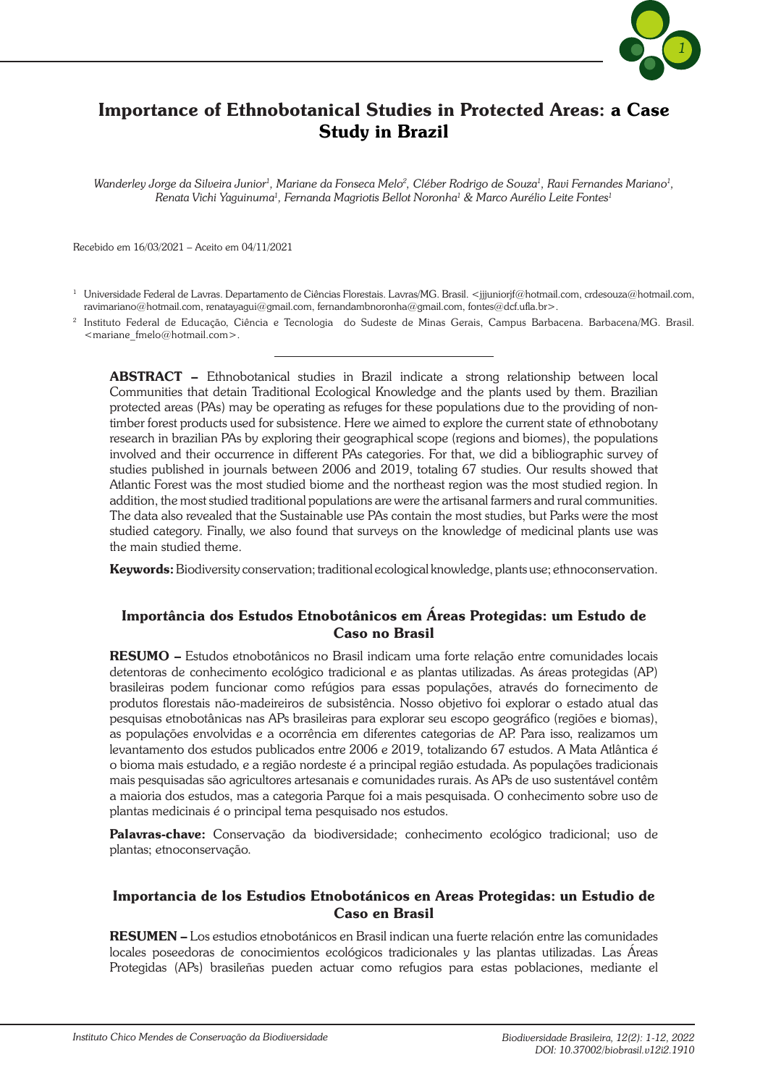

# Importance of Ethnobotanical Studies in Protected Areas: a Case Study in Brazil

 $W$ anderley Jorge da Silveira Junior<sup>1</sup>, Mariane da Fonseca Melo<sup>2</sup>, Cléber Rodrigo de Souza<sup>1</sup>, Ravi Fernandes Mariano<sup>1</sup>, *Renata Vichi Yaguinuma1 , Fernanda Magriotis Bellot Noronha1 & Marco Aurélio Leite Fontes1*

Recebido em 16/03/2021 – Aceito em 04/11/2021

<sup>1</sup> Universidade Federal de Lavras. Departamento de Ciências Florestais. Lavras/MG. Brasil. <jjjuniorjf@hotmail.com, crdesouza@hotmail.com, ravimariano@hotmail.com, renatayagui@gmail.com, fernandambnoronha@gmail.com, fontes@dcf.ufla.br>.

<sup>2</sup> Instituto Federal de Educação, Ciência e Tecnologia do Sudeste de Minas Gerais, Campus Barbacena. Barbacena/MG. Brasil. <mariane\_fmelo@hotmail.com>.

ABSTRACT – Ethnobotanical studies in Brazil indicate a strong relationship between local Communities that detain Traditional Ecological Knowledge and the plants used by them. Brazilian protected areas (PAs) may be operating as refuges for these populations due to the providing of nontimber forest products used for subsistence. Here we aimed to explore the current state of ethnobotany research in brazilian PAs by exploring their geographical scope (regions and biomes), the populations involved and their occurrence in different PAs categories. For that, we did a bibliographic survey of studies published in journals between 2006 and 2019, totaling 67 studies. Our results showed that Atlantic Forest was the most studied biome and the northeast region was the most studied region. In addition, the most studied traditional populations are were the artisanal farmers and rural communities. The data also revealed that the Sustainable use PAs contain the most studies, but Parks were the most studied category. Finally, we also found that surveys on the knowledge of medicinal plants use was the main studied theme.

Keywords: Biodiversity conservation; traditional ecological knowledge, plants use; ethnoconservation.

#### Importância dos Estudos Etnobotânicos em Áreas Protegidas: um Estudo de Caso no Brasil

RESUMO – Estudos etnobotânicos no Brasil indicam uma forte relação entre comunidades locais detentoras de conhecimento ecológico tradicional e as plantas utilizadas. As áreas protegidas (AP) brasileiras podem funcionar como refúgios para essas populações, através do fornecimento de produtos florestais não-madeireiros de subsistência. Nosso objetivo foi explorar o estado atual das pesquisas etnobotânicas nas APs brasileiras para explorar seu escopo geográfico (regiões e biomas), as populações envolvidas e a ocorrência em diferentes categorias de AP. Para isso, realizamos um levantamento dos estudos publicados entre 2006 e 2019, totalizando 67 estudos. A Mata Atlântica é o bioma mais estudado, e a região nordeste é a principal região estudada. As populações tradicionais mais pesquisadas são agricultores artesanais e comunidades rurais. As APs de uso sustentável contêm a maioria dos estudos, mas a categoria Parque foi a mais pesquisada. O conhecimento sobre uso de plantas medicinais é o principal tema pesquisado nos estudos.

Palavras-chave: Conservação da biodiversidade; conhecimento ecológico tradicional; uso de plantas; etnoconservação.

#### Importancia de los Estudios Etnobotánicos en Areas Protegidas: un Estudio de Caso en Brasil

RESUMEN – Los estudios etnobotánicos en Brasil indican una fuerte relación entre las comunidades locales poseedoras de conocimientos ecológicos tradicionales y las plantas utilizadas. Las Áreas Protegidas (APs) brasileñas pueden actuar como refugios para estas poblaciones, mediante el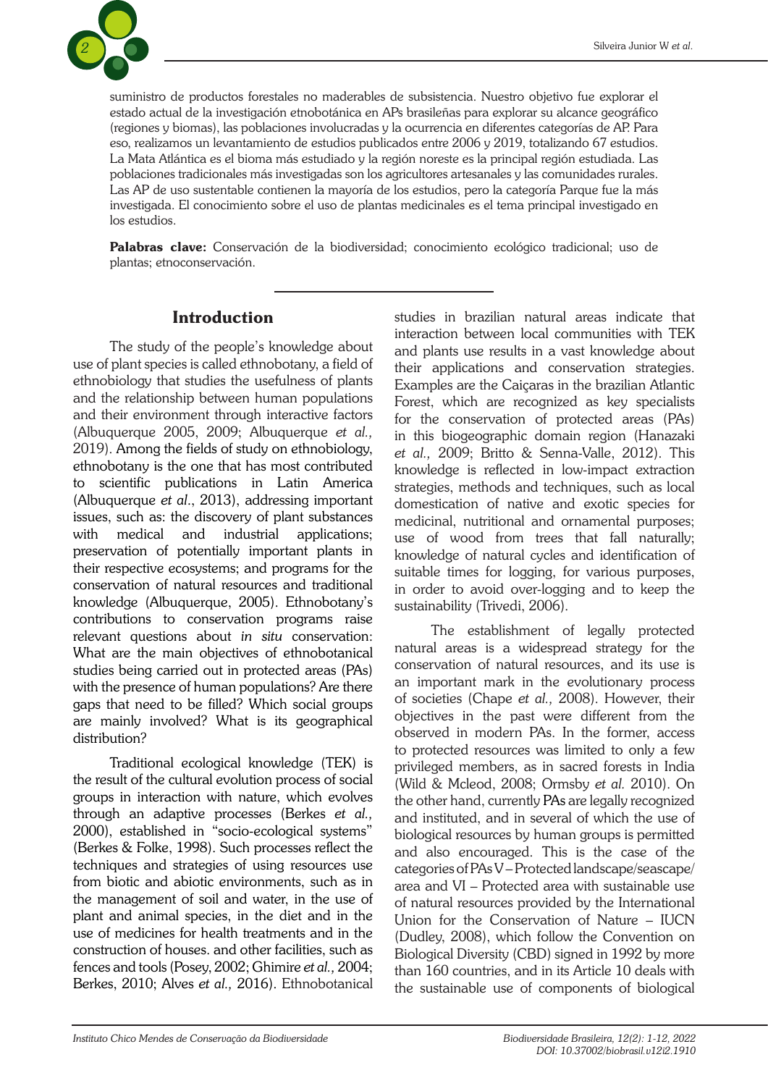

suministro de productos forestales no maderables de subsistencia. Nuestro objetivo fue explorar el estado actual de la investigación etnobotánica en APs brasileñas para explorar su alcance geográfico (regiones y biomas), las poblaciones involucradas y la ocurrencia en diferentes categorías de AP. Para eso, realizamos un levantamiento de estudios publicados entre 2006 y 2019, totalizando 67 estudios. La Mata Atlántica es el bioma más estudiado y la región noreste es la principal región estudiada. Las poblaciones tradicionales más investigadas son los agricultores artesanales y las comunidades rurales. Las AP de uso sustentable contienen la mayoría de los estudios, pero la categoría Parque fue la más investigada. El conocimiento sobre el uso de plantas medicinales es el tema principal investigado en los estudios.

Palabras clave: Conservación de la biodiversidad; conocimiento ecológico tradicional; uso de plantas; etnoconservación.

# Introduction

The study of the people's knowledge about use of plant species is called ethnobotany, a field of ethnobiology that studies the usefulness of plants and the relationship between human populations and their environment through interactive factors (Albuquerque 2005, 2009; Albuquerque *et al.,* 2019). Among the fields of study on ethnobiology, ethnobotany is the one that has most contributed to scientific publications in Latin America (Albuquerque *et al*., 2013), addressing important issues, such as: the discovery of plant substances with medical and industrial applications; preservation of potentially important plants in their respective ecosystems; and programs for the conservation of natural resources and traditional knowledge (Albuquerque, 2005). Ethnobotany's contributions to conservation programs raise relevant questions about *in situ* conservation: What are the main objectives of ethnobotanical studies being carried out in protected areas (PAs) with the presence of human populations? Are there gaps that need to be filled? Which social groups are mainly involved? What is its geographical distribution?

Traditional ecological knowledge (TEK) is the result of the cultural evolution process of social groups in interaction with nature, which evolves through an adaptive processes (Berkes *et al.,* 2000), established in "socio-ecological systems" (Berkes & Folke, 1998). Such processes reflect the techniques and strategies of using resources use from biotic and abiotic environments, such as in the management of soil and water, in the use of plant and animal species, in the diet and in the use of medicines for health treatments and in the construction of houses. and other facilities, such as fences and tools (Posey, 2002; Ghimire *et al.,* 2004; Berkes, 2010; Alves *et al.,* 2016). Ethnobotanical

studies in brazilian natural areas indicate that interaction between local communities with TEK and plants use results in a vast knowledge about their applications and conservation strategies. Examples are the Caiçaras in the brazilian Atlantic Forest, which are recognized as key specialists for the conservation of protected areas (PAs) in this biogeographic domain region (Hanazaki *et al.,* 2009; Britto & Senna-Valle, 2012). This knowledge is reflected in low-impact extraction strategies, methods and techniques, such as local domestication of native and exotic species for medicinal, nutritional and ornamental purposes; use of wood from trees that fall naturally; knowledge of natural cycles and identification of suitable times for logging, for various purposes, in order to avoid over-logging and to keep the sustainability (Trivedi, 2006).

The establishment of legally protected natural areas is a widespread strategy for the conservation of natural resources, and its use is an important mark in the evolutionary process of societies (Chape *et al.,* 2008). However, their objectives in the past were different from the observed in modern PAs. In the former, access to protected resources was limited to only a few privileged members, as in sacred forests in India (Wild & Mcleod, 2008; Ormsby *et al.* 2010). On the other hand, currently PAs are legally recognized and instituted, and in several of which the use of biological resources by human groups is permitted and also encouraged. This is the case of the categories of PAs V – Protected landscape/seascape/ area and VI – Protected area with sustainable use of natural resources provided by the International Union for the Conservation of Nature – IUCN (Dudley, 2008), which follow the Convention on Biological Diversity (CBD) signed in 1992 by more than 160 countries, and in its Article 10 deals with the sustainable use of components of biological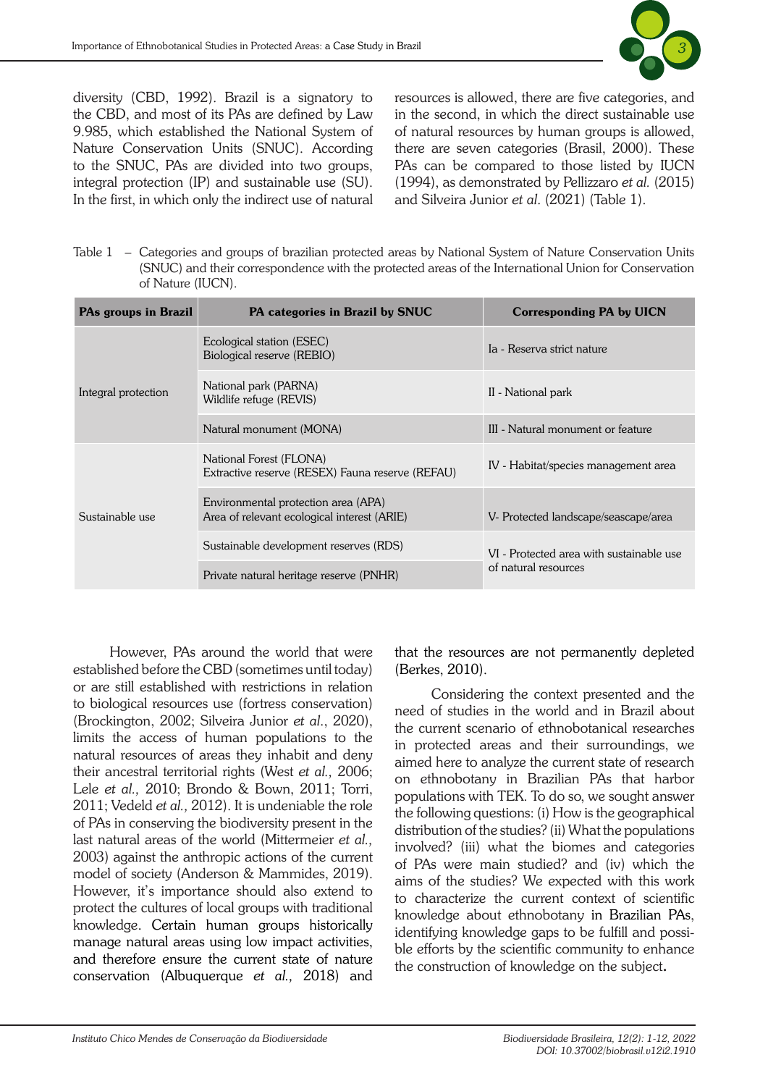

diversity (CBD, 1992). Brazil is a signatory to the CBD, and most of its PAs are defined by Law 9.985, which established the National System of Nature Conservation Units (SNUC). According to the SNUC, PAs are divided into two groups, integral protection (IP) and sustainable use (SU). In the first, in which only the indirect use of natural resources is allowed, there are five categories, and in the second, in which the direct sustainable use of natural resources by human groups is allowed, there are seven categories (Brasil, 2000). These PAs can be compared to those listed by IUCN (1994), as demonstrated by Pellizzaro *et al.* (2015) and Silveira Junior *et al*. (2021) (Table 1).

Table 1 – Categories and groups of brazilian protected areas by National System of Nature Conservation Units (SNUC) and their correspondence with the protected areas of the International Union for Conservation of Nature (IUCN).

| PAs groups in Brazil | PA categories in Brazil by SNUC                                                    | <b>Corresponding PA by UICN</b>                                  |
|----------------------|------------------------------------------------------------------------------------|------------------------------------------------------------------|
| Integral protection  | Ecological station (ESEC)<br>Biological reserve (REBIO)                            | Ia - Reserva strict nature                                       |
|                      | National park (PARNA)<br>Wildlife refuge (REVIS)                                   | II - National park                                               |
|                      | Natural monument (MONA)                                                            | III - Natural monument or feature                                |
| Sustainable use      | National Forest (FLONA)<br>Extractive reserve (RESEX) Fauna reserve (REFAU)        | IV - Habitat/species management area                             |
|                      | Environmental protection area (APA)<br>Area of relevant ecological interest (ARIE) | V- Protected landscape/seascape/area                             |
|                      | Sustainable development reserves (RDS)                                             | VI - Protected area with sustainable use<br>of natural resources |
|                      | Private natural heritage reserve (PNHR)                                            |                                                                  |

However, PAs around the world that were established before the CBD (sometimes until today) or are still established with restrictions in relation to biological resources use (fortress conservation) (Brockington, 2002; Silveira Junior *et al*., 2020), limits the access of human populations to the natural resources of areas they inhabit and deny their ancestral territorial rights (West *et al.,* 2006; Lele *et al.,* 2010; Brondo & Bown, 2011; Torri, 2011; Vedeld *et al.,* 2012). It is undeniable the role of PAs in conserving the biodiversity present in the last natural areas of the world (Mittermeier *et al.,* 2003) against the anthropic actions of the current model of society (Anderson & Mammides, 2019). However, it's importance should also extend to protect the cultures of local groups with traditional knowledge. Certain human groups historically manage natural areas using low impact activities, and therefore ensure the current state of nature conservation (Albuquerque *et al.,* 2018) and that the resources are not permanently depleted (Berkes, 2010).

Considering the context presented and the need of studies in the world and in Brazil about the current scenario of ethnobotanical researches in protected areas and their surroundings, we aimed here to analyze the current state of research on ethnobotany in Brazilian PAs that harbor populations with TEK. To do so, we sought answer the following questions: (i) How is the geographical distribution of the studies? (ii) What the populations involved? (iii) what the biomes and categories of PAs were main studied? and (iv) which the aims of the studies? We expected with this work to characterize the current context of scientific knowledge about ethnobotany in Brazilian PAs, identifying knowledge gaps to be fulfill and possible efforts by the scientific community to enhance the construction of knowledge on the subject.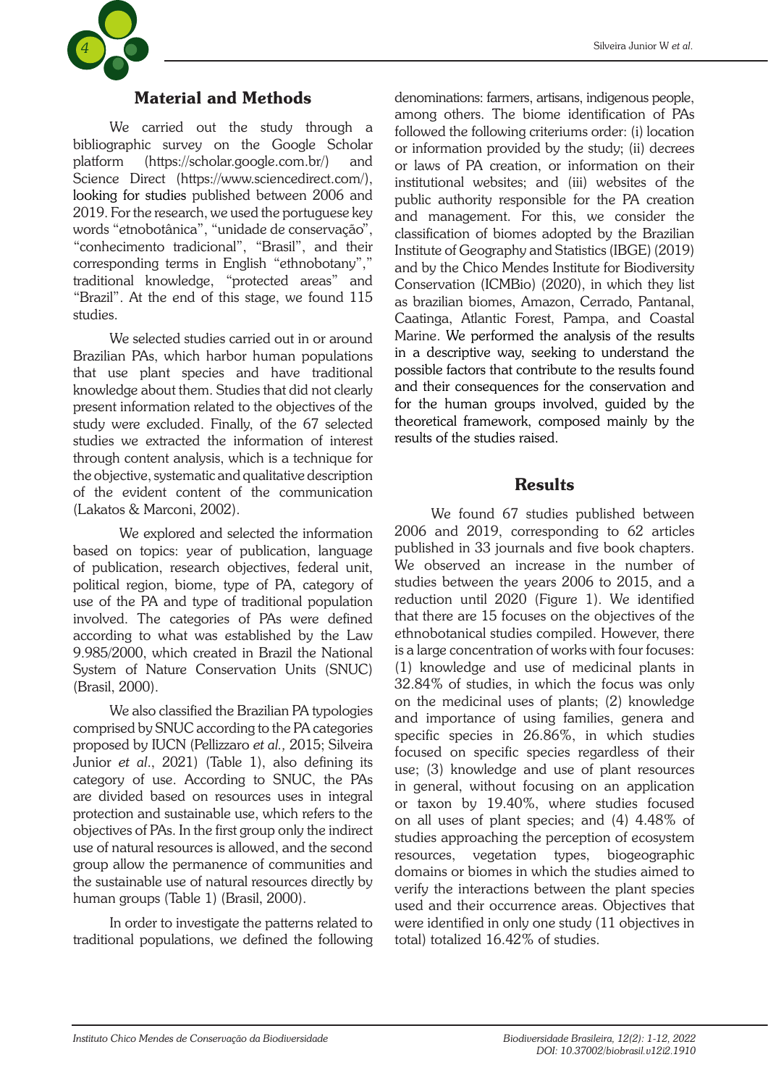

# Material and Methods

We carried out the study through a bibliographic survey on the Google Scholar platform (https://scholar.google.com.br/) and Science Direct (https://www.sciencedirect.com/), looking for studies published between 2006 and 2019. For the research, we used the portuguese key words "etnobotânica", "unidade de conservação", "conhecimento tradicional", "Brasil", and their corresponding terms in English "ethnobotany"," traditional knowledge, "protected areas" and "Brazil". At the end of this stage, we found 115 studies.

We selected studies carried out in or around Brazilian PAs, which harbor human populations that use plant species and have traditional knowledge about them. Studies that did not clearly present information related to the objectives of the study were excluded. Finally, of the 67 selected studies we extracted the information of interest through content analysis, which is a technique for the objective, systematic and qualitative description of the evident content of the communication (Lakatos & Marconi, 2002).

We explored and selected the information based on topics: year of publication, language of publication, research objectives, federal unit, political region, biome, type of PA, category of use of the PA and type of traditional population involved. The categories of PAs were defined according to what was established by the Law 9.985/2000, which created in Brazil the National System of Nature Conservation Units (SNUC) (Brasil, 2000).

We also classified the Brazilian PA typologies comprised by SNUC according to the PA categories proposed by IUCN (Pellizzaro *et al.,* 2015; Silveira Junior *et al*., 2021) (Table 1), also defining its category of use. According to SNUC, the PAs are divided based on resources uses in integral protection and sustainable use, which refers to the objectives of PAs. In the first group only the indirect use of natural resources is allowed, and the second group allow the permanence of communities and the sustainable use of natural resources directly by human groups (Table 1) (Brasil, 2000).

In order to investigate the patterns related to traditional populations, we defined the following denominations: farmers, artisans, indigenous people, among others. The biome identification of PAs followed the following criteriums order: (i) location or information provided by the study; (ii) decrees or laws of PA creation, or information on their institutional websites; and (iii) websites of the public authority responsible for the PA creation and management. For this, we consider the classification of biomes adopted by the Brazilian Institute of Geography and Statistics (IBGE) (2019) and by the Chico Mendes Institute for Biodiversity Conservation (ICMBio) (2020), in which they list as brazilian biomes, Amazon, Cerrado, Pantanal, Caatinga, Atlantic Forest, Pampa, and Coastal Marine. We performed the analysis of the results in a descriptive way, seeking to understand the possible factors that contribute to the results found

and their consequences for the conservation and for the human groups involved, guided by the theoretical framework, composed mainly by the results of the studies raised.

### **Results**

We found 67 studies published between 2006 and 2019, corresponding to 62 articles published in 33 journals and five book chapters. We observed an increase in the number of studies between the years 2006 to 2015, and a reduction until 2020 (Figure 1). We identified that there are 15 focuses on the objectives of the ethnobotanical studies compiled. However, there is a large concentration of works with four focuses: (1) knowledge and use of medicinal plants in 32.84% of studies, in which the focus was only on the medicinal uses of plants; (2) knowledge and importance of using families, genera and specific species in 26.86%, in which studies focused on specific species regardless of their use; (3) knowledge and use of plant resources in general, without focusing on an application or taxon by 19.40%, where studies focused on all uses of plant species; and (4) 4.48% of studies approaching the perception of ecosystem resources, vegetation types, biogeographic domains or biomes in which the studies aimed to verify the interactions between the plant species used and their occurrence areas. Objectives that were identified in only one study (11 objectives in total) totalized 16.42% of studies.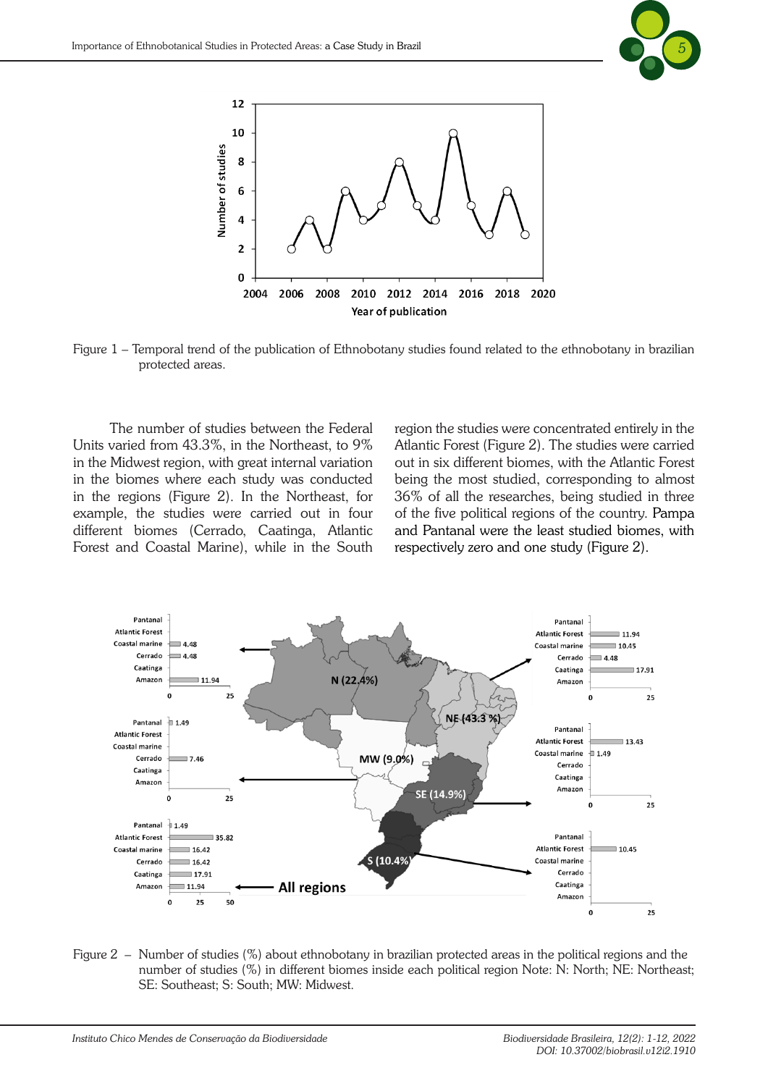



Figure 1 – Temporal trend of the publication of Ethnobotany studies found related to the ethnobotany in brazilian protected areas.

The number of studies between the Federal Units varied from 43.3%, in the Northeast, to 9% in the Midwest region, with great internal variation in the biomes where each study was conducted in the regions (Figure 2). In the Northeast, for example, the studies were carried out in four different biomes (Cerrado, Caatinga, Atlantic Forest and Coastal Marine), while in the South region the studies were concentrated entirely in the Atlantic Forest (Figure 2). The studies were carried out in six different biomes, with the Atlantic Forest being the most studied, corresponding to almost 36% of all the researches, being studied in three of the five political regions of the country. Pampa and Pantanal were the least studied biomes, with respectively zero and one study (Figure 2).



Figure 2 – Number of studies (%) about ethnobotany in brazilian protected areas in the political regions and the number of studies (%) in different biomes inside each political region Note: N: North; NE: Northeast; SE: Southeast; S: South; MW: Midwest.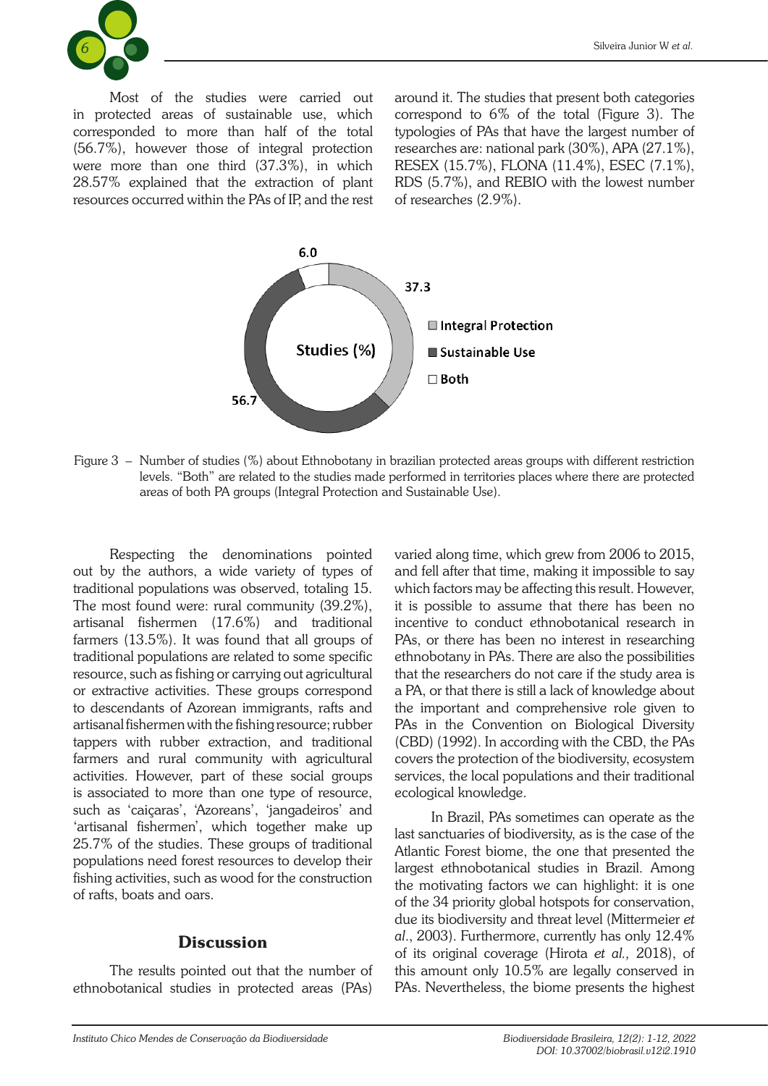

Most of the studies were carried out in protected areas of sustainable use, which corresponded to more than half of the total (56.7%), however those of integral protection were more than one third (37.3%), in which 28.57% explained that the extraction of plant resources occurred within the PAs of IP, and the rest around it. The studies that present both categories correspond to 6% of the total (Figure 3). The typologies of PAs that have the largest number of researches are: national park (30%), APA (27.1%), RESEX (15.7%), FLONA (11.4%), ESEC (7.1%), RDS (5.7%), and REBIO with the lowest number of researches (2.9%).



Figure 3 – Number of studies (%) about Ethnobotany in brazilian protected areas groups with different restriction levels. "Both" are related to the studies made performed in territories places where there are protected areas of both PA groups (Integral Protection and Sustainable Use).

Respecting the denominations pointed out by the authors, a wide variety of types of traditional populations was observed, totaling 15. The most found were: rural community (39.2%), artisanal fishermen (17.6%) and traditional farmers (13.5%). It was found that all groups of traditional populations are related to some specific resource, such as fishing or carrying out agricultural or extractive activities. These groups correspond to descendants of Azorean immigrants, rafts and artisanal fishermen with the fishing resource; rubber tappers with rubber extraction, and traditional farmers and rural community with agricultural activities. However, part of these social groups is associated to more than one type of resource, such as 'caiçaras', 'Azoreans', 'jangadeiros' and 'artisanal fishermen', which together make up 25.7% of the studies. These groups of traditional populations need forest resources to develop their fishing activities, such as wood for the construction of rafts, boats and oars.

### **Discussion**

The results pointed out that the number of ethnobotanical studies in protected areas (PAs) varied along time, which grew from 2006 to 2015, and fell after that time, making it impossible to say which factors may be affecting this result. However, it is possible to assume that there has been no incentive to conduct ethnobotanical research in PAs, or there has been no interest in researching ethnobotany in PAs. There are also the possibilities that the researchers do not care if the study area is a PA, or that there is still a lack of knowledge about the important and comprehensive role given to PAs in the Convention on Biological Diversity (CBD) (1992). In according with the CBD, the PAs covers the protection of the biodiversity, ecosystem services, the local populations and their traditional ecological knowledge.

In Brazil, PAs sometimes can operate as the last sanctuaries of biodiversity, as is the case of the Atlantic Forest biome, the one that presented the largest ethnobotanical studies in Brazil. Among the motivating factors we can highlight: it is one of the 34 priority global hotspots for conservation, due its biodiversity and threat level (Mittermeier *et al*., 2003). Furthermore, currently has only 12.4% of its original coverage (Hirota *et al.,* 2018), of this amount only 10.5% are legally conserved in PAs. Nevertheless, the biome presents the highest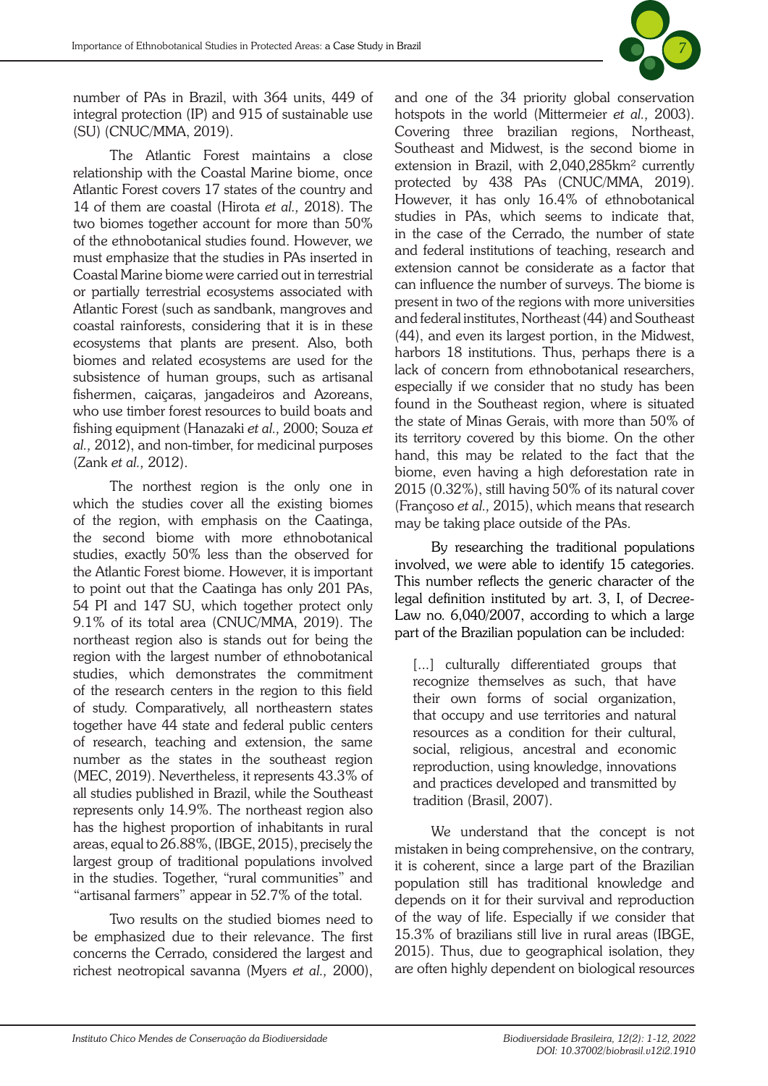

number of PAs in Brazil, with 364 units, 449 of integral protection (IP) and 915 of sustainable use (SU) (CNUC/MMA, 2019).

The Atlantic Forest maintains a close relationship with the Coastal Marine biome, once Atlantic Forest covers 17 states of the country and 14 of them are coastal (Hirota *et al.,* 2018). The two biomes together account for more than 50% of the ethnobotanical studies found. However, we must emphasize that the studies in PAs inserted in Coastal Marine biome were carried out in terrestrial or partially terrestrial ecosystems associated with Atlantic Forest (such as sandbank, mangroves and coastal rainforests, considering that it is in these ecosystems that plants are present. Also, both biomes and related ecosystems are used for the subsistence of human groups, such as artisanal fishermen, caiçaras, jangadeiros and Azoreans, who use timber forest resources to build boats and fishing equipment (Hanazaki *et al.,* 2000; Souza *et al.,* 2012), and non-timber, for medicinal purposes (Zank *et al.,* 2012).

The northest region is the only one in which the studies cover all the existing biomes of the region, with emphasis on the Caatinga, the second biome with more ethnobotanical studies, exactly 50% less than the observed for the Atlantic Forest biome. However, it is important to point out that the Caatinga has only 201 PAs, 54 PI and 147 SU, which together protect only 9.1% of its total area (CNUC/MMA, 2019). The northeast region also is stands out for being the region with the largest number of ethnobotanical studies, which demonstrates the commitment of the research centers in the region to this field of study. Comparatively, all northeastern states together have 44 state and federal public centers of research, teaching and extension, the same number as the states in the southeast region (MEC, 2019). Nevertheless, it represents 43.3% of all studies published in Brazil, while the Southeast represents only 14.9%. The northeast region also has the highest proportion of inhabitants in rural areas, equal to 26.88%, (IBGE, 2015), precisely the largest group of traditional populations involved in the studies. Together, "rural communities" and "artisanal farmers" appear in 52.7% of the total.

Two results on the studied biomes need to be emphasized due to their relevance. The first concerns the Cerrado, considered the largest and richest neotropical savanna (Myers *et al.,* 2000), and one of the 34 priority global conservation hotspots in the world (Mittermeier *et al.,* 2003). Covering three brazilian regions, Northeast, Southeast and Midwest, is the second biome in extension in Brazil, with 2,040,285km² currently protected by 438 PAs (CNUC/MMA, 2019). However, it has only 16.4% of ethnobotanical studies in PAs, which seems to indicate that, in the case of the Cerrado, the number of state and federal institutions of teaching, research and extension cannot be considerate as a factor that can influence the number of surveys. The biome is present in two of the regions with more universities and federal institutes, Northeast (44) and Southeast (44), and even its largest portion, in the Midwest, harbors 18 institutions. Thus, perhaps there is a lack of concern from ethnobotanical researchers, especially if we consider that no study has been found in the Southeast region, where is situated the state of Minas Gerais, with more than 50% of its territory covered by this biome. On the other hand, this may be related to the fact that the biome, even having a high deforestation rate in 2015 (0.32%), still having 50% of its natural cover (Françoso *et al.,* 2015), which means that research may be taking place outside of the PAs.

By researching the traditional populations involved, we were able to identify 15 categories. This number reflects the generic character of the legal definition instituted by art. 3, I, of Decree-Law no. 6,040/2007, according to which a large part of the Brazilian population can be included:

[...] culturally differentiated groups that recognize themselves as such, that have their own forms of social organization, that occupy and use territories and natural resources as a condition for their cultural, social, religious, ancestral and economic reproduction, using knowledge, innovations and practices developed and transmitted by tradition (Brasil, 2007).

We understand that the concept is not mistaken in being comprehensive, on the contrary, it is coherent, since a large part of the Brazilian population still has traditional knowledge and depends on it for their survival and reproduction of the way of life. Especially if we consider that 15.3% of brazilians still live in rural areas (IBGE, 2015). Thus, due to geographical isolation, they are often highly dependent on biological resources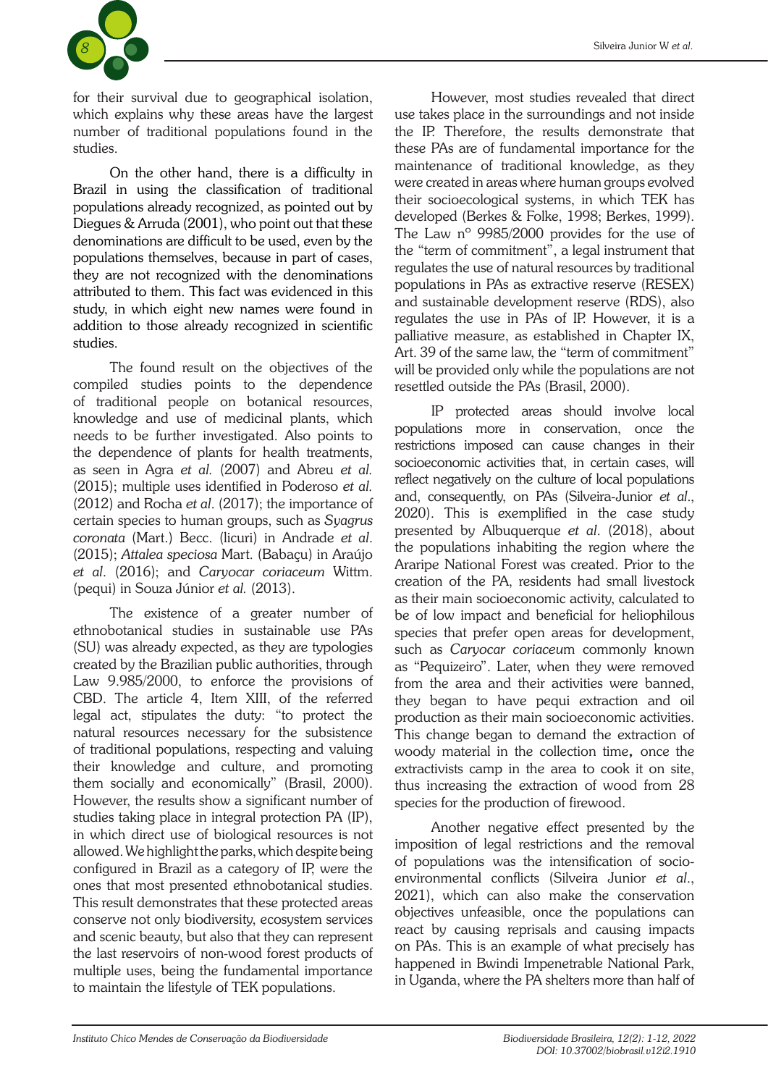

for their survival due to geographical isolation, which explains why these areas have the largest number of traditional populations found in the studies.

On the other hand, there is a difficulty in Brazil in using the classification of traditional populations already recognized, as pointed out by Diegues & Arruda (2001), who point out that these denominations are difficult to be used, even by the populations themselves, because in part of cases, they are not recognized with the denominations attributed to them. This fact was evidenced in this study, in which eight new names were found in addition to those already recognized in scientific studies.

The found result on the objectives of the compiled studies points to the dependence of traditional people on botanical resources, knowledge and use of medicinal plants, which needs to be further investigated. Also points to the dependence of plants for health treatments, as seen in Agra *et al.* (2007) and Abreu *et al.* (2015); multiple uses identified in Poderoso *et al.* (2012) and Rocha *et al*. (2017); the importance of certain species to human groups, such as *Syagrus coronata* (Mart.) Becc. (licuri) in Andrade *et al*. (2015); *Attalea speciosa* Mart. (Babaçu) in Araújo *et al*. (2016); and *Caryocar coriaceum* Wittm. (pequi) in Souza Júnior *et al.* (2013).

The existence of a greater number of ethnobotanical studies in sustainable use PAs (SU) was already expected, as they are typologies created by the Brazilian public authorities, through Law 9.985/2000, to enforce the provisions of CBD. The article 4, Item XIII, of the referred legal act, stipulates the duty: "to protect the natural resources necessary for the subsistence of traditional populations, respecting and valuing their knowledge and culture, and promoting them socially and economically" (Brasil, 2000). However, the results show a significant number of studies taking place in integral protection PA (IP), in which direct use of biological resources is not allowed. We highlight the parks, which despite being configured in Brazil as a category of IP, were the ones that most presented ethnobotanical studies. This result demonstrates that these protected areas conserve not only biodiversity, ecosystem services and scenic beauty, but also that they can represent the last reservoirs of non-wood forest products of multiple uses, being the fundamental importance to maintain the lifestyle of TEK populations.

However, most studies revealed that direct use takes place in the surroundings and not inside the IP. Therefore, the results demonstrate that these PAs are of fundamental importance for the maintenance of traditional knowledge, as they were created in areas where human groups evolved their socioecological systems, in which TEK has developed (Berkes & Folke, 1998; Berkes, 1999). The Law nº 9985/2000 provides for the use of the "term of commitment", a legal instrument that regulates the use of natural resources by traditional populations in PAs as extractive reserve (RESEX) and sustainable development reserve (RDS), also regulates the use in PAs of IP. However, it is a palliative measure, as established in Chapter IX, Art. 39 of the same law, the "term of commitment" will be provided only while the populations are not resettled outside the PAs (Brasil, 2000).

IP protected areas should involve local populations more in conservation, once the restrictions imposed can cause changes in their socioeconomic activities that, in certain cases, will reflect negatively on the culture of local populations and, consequently, on PAs (Silveira-Junior *et al*., 2020). This is exemplified in the case study presented by Albuquerque *et al*. (2018), about the populations inhabiting the region where the Araripe National Forest was created. Prior to the creation of the PA, residents had small livestock as their main socioeconomic activity, calculated to be of low impact and beneficial for heliophilous species that prefer open areas for development, such as *Caryocar coriaceu*m commonly known as "Pequizeiro". Later, when they were removed from the area and their activities were banned, they began to have pequi extraction and oil production as their main socioeconomic activities. This change began to demand the extraction of woody material in the collection time, once the extractivists camp in the area to cook it on site, thus increasing the extraction of wood from 28 species for the production of firewood.

Another negative effect presented by the imposition of legal restrictions and the removal of populations was the intensification of socioenvironmental conflicts (Silveira Junior *et al*., 2021), which can also make the conservation objectives unfeasible, once the populations can react by causing reprisals and causing impacts on PAs. This is an example of what precisely has happened in Bwindi Impenetrable National Park, in Uganda, where the PA shelters more than half of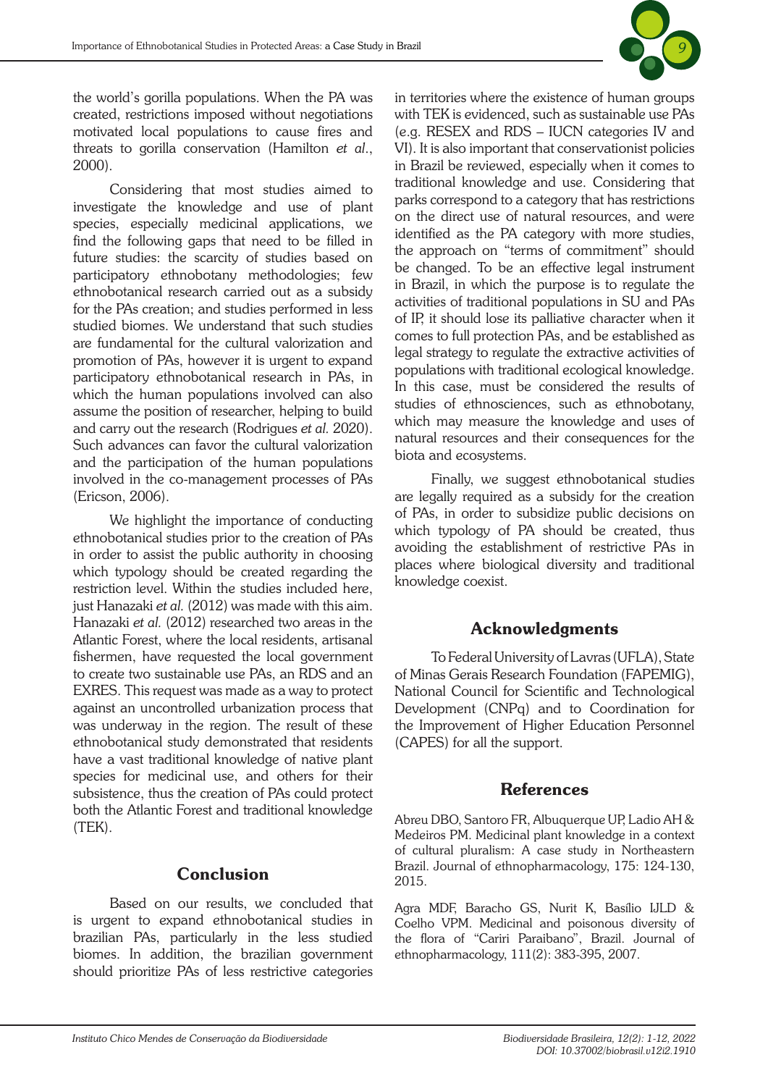

the world's gorilla populations. When the PA was created, restrictions imposed without negotiations motivated local populations to cause fires and threats to gorilla conservation (Hamilton *et al*., 2000).

Considering that most studies aimed to investigate the knowledge and use of plant species, especially medicinal applications, we find the following gaps that need to be filled in future studies: the scarcity of studies based on participatory ethnobotany methodologies; few ethnobotanical research carried out as a subsidy for the PAs creation; and studies performed in less studied biomes. We understand that such studies are fundamental for the cultural valorization and promotion of PAs, however it is urgent to expand participatory ethnobotanical research in PAs, in which the human populations involved can also assume the position of researcher, helping to build and carry out the research (Rodrigues *et al.* 2020). Such advances can favor the cultural valorization and the participation of the human populations involved in the co-management processes of PAs (Ericson, 2006).

We highlight the importance of conducting ethnobotanical studies prior to the creation of PAs in order to assist the public authority in choosing which typology should be created regarding the restriction level. Within the studies included here, just Hanazaki *et al.* (2012) was made with this aim. Hanazaki *et al.* (2012) researched two areas in the Atlantic Forest, where the local residents, artisanal fishermen, have requested the local government to create two sustainable use PAs, an RDS and an EXRES. This request was made as a way to protect against an uncontrolled urbanization process that was underway in the region. The result of these ethnobotanical study demonstrated that residents have a vast traditional knowledge of native plant species for medicinal use, and others for their subsistence, thus the creation of PAs could protect both the Atlantic Forest and traditional knowledge (TEK).

### Conclusion

Based on our results, we concluded that is urgent to expand ethnobotanical studies in brazilian PAs, particularly in the less studied biomes. In addition, the brazilian government should prioritize PAs of less restrictive categories in territories where the existence of human groups with TEK is evidenced, such as sustainable use PAs (e.g. RESEX and RDS – IUCN categories IV and VI). It is also important that conservationist policies in Brazil be reviewed, especially when it comes to traditional knowledge and use. Considering that parks correspond to a category that has restrictions on the direct use of natural resources, and were identified as the PA category with more studies, the approach on "terms of commitment" should be changed. To be an effective legal instrument in Brazil, in which the purpose is to regulate the activities of traditional populations in SU and PAs of IP, it should lose its palliative character when it comes to full protection PAs, and be established as legal strategy to regulate the extractive activities of populations with traditional ecological knowledge. In this case, must be considered the results of studies of ethnosciences, such as ethnobotany, which may measure the knowledge and uses of natural resources and their consequences for the biota and ecosystems.

Finally, we suggest ethnobotanical studies are legally required as a subsidy for the creation of PAs, in order to subsidize public decisions on which typology of PA should be created, thus avoiding the establishment of restrictive PAs in places where biological diversity and traditional knowledge coexist.

# Acknowledgments

To Federal University of Lavras (UFLA), State of Minas Gerais Research Foundation (FAPEMIG), National Council for Scientific and Technological Development (CNPq) and to Coordination for the Improvement of Higher Education Personnel (CAPES) for all the support.

# References

Abreu DBO, Santoro FR, Albuquerque UP, Ladio AH & Medeiros PM. Medicinal plant knowledge in a context of cultural pluralism: A case study in Northeastern Brazil. Journal of ethnopharmacology, 175: 124-130, 2015.

Agra MDF, Baracho GS, Nurit K, Basílio IJLD & Coelho VPM. Medicinal and poisonous diversity of the flora of "Cariri Paraibano", Brazil. Journal of ethnopharmacology, 111(2): 383-395, 2007.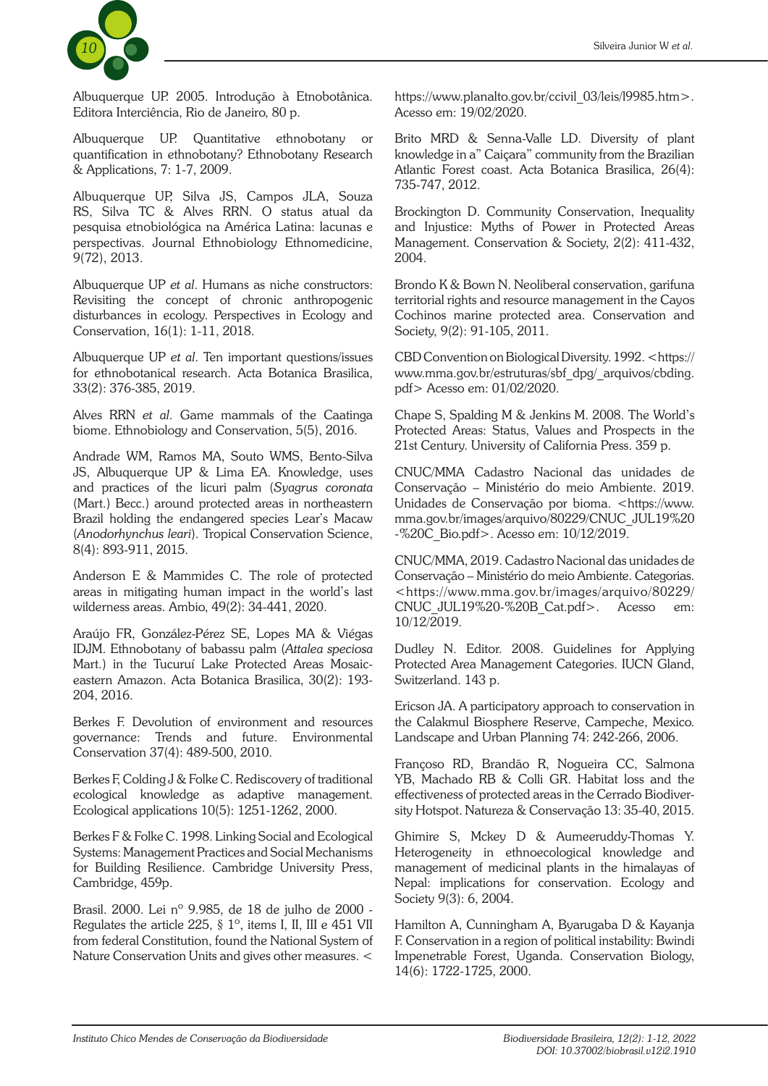

Albuquerque UP. 2005. Introdução à Etnobotânica. Editora Interciência, Rio de Janeiro, 80 p.

Albuquerque UP. Quantitative ethnobotany or quantification in ethnobotany? Ethnobotany Research & Applications, 7: 1-7, 2009.

Albuquerque UP, Silva JS, Campos JLA, Souza RS, Silva TC & Alves RRN. O status atual da pesquisa etnobiológica na América Latina: lacunas e perspectivas. Journal Ethnobiology Ethnomedicine, 9(72), 2013.

Albuquerque UP *et al*. Humans as niche constructors: Revisiting the concept of chronic anthropogenic disturbances in ecology. Perspectives in Ecology and Conservation, 16(1): 1-11, 2018.

Albuquerque UP *et al*. Ten important questions/issues for ethnobotanical research. Acta Botanica Brasilica, 33(2): 376-385, 2019.

Alves RRN *et al*. Game mammals of the Caatinga biome. Ethnobiology and Conservation, 5(5), 2016.

Andrade WM, Ramos MA, Souto WMS, Bento-Silva JS, Albuquerque UP & Lima EA. Knowledge, uses and practices of the licuri palm (*Syagrus coronata* (Mart.) Becc.) around protected areas in northeastern Brazil holding the endangered species Lear's Macaw (*Anodorhynchus leari*). Tropical Conservation Science, 8(4): 893-911, 2015.

Anderson E & Mammides C. The role of protected areas in mitigating human impact in the world's last wilderness areas. Ambio, 49(2): 34-441, 2020.

Araújo FR, González-Pérez SE, Lopes MA & Viégas IDJM. Ethnobotany of babassu palm (*Attalea speciosa* Mart.) in the Tucuruí Lake Protected Areas Mosaiceastern Amazon. Acta Botanica Brasilica, 30(2): 193- 204, 2016.

Berkes F. Devolution of environment and resources governance: Trends and future. Environmental Conservation 37(4): 489-500, 2010.

Berkes F, Colding J & Folke C. Rediscovery of traditional ecological knowledge as adaptive management. Ecological applications 10(5): 1251-1262, 2000.

Berkes F & Folke C. 1998. Linking Social and Ecological Systems: Management Practices and Social Mechanisms for Building Resilience. Cambridge University Press, Cambridge, 459p.

Brasil. 2000. Lei nº 9.985, de 18 de julho de 2000 - Regulates the article 225, § 1º, items I, II, III e 451 VII from federal Constitution, found the National System of Nature Conservation Units and gives other measures. <

https://www.planalto.gov.br/ccivil\_03/leis/l9985.htm>. Acesso em: 19/02/2020.

Brito MRD & Senna-Valle LD. Diversity of plant knowledge in a" Caiçara" community from the Brazilian Atlantic Forest coast. Acta Botanica Brasilica, 26(4): 735-747, 2012.

Brockington D. Community Conservation, Inequality and Injustice: Myths of Power in Protected Areas Management. Conservation & Society, 2(2): 411-432, 2004.

Brondo K & Bown N. Neoliberal conservation, garifuna territorial rights and resource management in the Cayos Cochinos marine protected area. Conservation and Society, 9(2): 91-105, 2011.

CBD Convention on Biological Diversity. 1992. <https:// www.mma.gov.br/estruturas/sbf\_dpg/\_arquivos/cbding. pdf> Acesso em: 01/02/2020.

Chape S, Spalding M & Jenkins M. 2008. The World's Protected Areas: Status, Values and Prospects in the 21st Century. University of California Press. 359 p.

CNUC/MMA Cadastro Nacional das unidades de Conservação – Ministério do meio Ambiente. 2019. Unidades de Conservação por bioma. <https://www. mma.gov.br/images/arquivo/80229/CNUC\_JUL19%20 -%20C\_Bio.pdf>. Acesso em: 10/12/2019.

CNUC/MMA, 2019. Cadastro Nacional das unidades de Conservação – Ministério do meio Ambiente. Categorias. <https://www.mma.gov.br/images/arquivo/80229/ CNUC\_JUL19%20-%20B\_Cat.pdf>. Acesso em: 10/12/2019.

Dudley N. Editor. 2008. Guidelines for Applying Protected Area Management Categories. IUCN Gland, Switzerland. 143 p.

Ericson JA. A participatory approach to conservation in the Calakmul Biosphere Reserve, Campeche, Mexico. Landscape and Urban Planning 74: 242-266, 2006.

Françoso RD, Brandão R, Nogueira CC, Salmona YB, Machado RB & Colli GR. Habitat loss and the effectiveness of protected areas in the Cerrado Biodiversity Hotspot. Natureza & Conservação 13: 35-40, 2015.

Ghimire S, Mckey D & Aumeeruddy-Thomas Y. Heterogeneity in ethnoecological knowledge and management of medicinal plants in the himalayas of Nepal: implications for conservation. Ecology and Society 9(3): 6, 2004.

Hamilton A, Cunningham A, Byarugaba D & Kayanja F. Conservation in a region of political instability: Bwindi Impenetrable Forest, Uganda. Conservation Biology, 14(6): 1722-1725, 2000.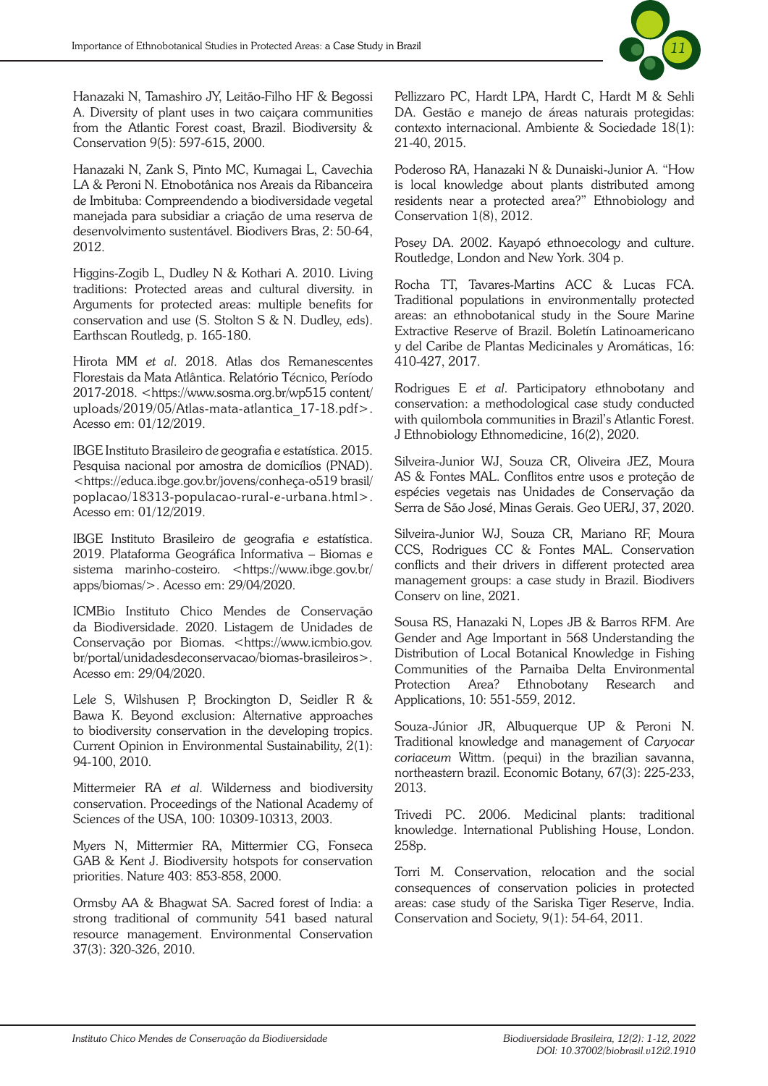

Hanazaki N, Tamashiro JY, Leitão-Filho HF & Begossi A. Diversity of plant uses in two caiçara communities from the Atlantic Forest coast, Brazil. Biodiversity & Conservation 9(5): 597-615, 2000.

Hanazaki N, Zank S, Pinto MC, Kumagai L, Cavechia LA & Peroni N. Etnobotânica nos Areais da Ribanceira de Imbituba: Compreendendo a biodiversidade vegetal manejada para subsidiar a criação de uma reserva de desenvolvimento sustentável. Biodivers Bras, 2: 50-64, 2012.

Higgins-Zogib L, Dudley N & Kothari A. 2010. Living traditions: Protected areas and cultural diversity. in Arguments for protected areas: multiple benefits for conservation and use (S. Stolton S & N. Dudley, eds). Earthscan Routledg, p. 165-180.

Hirota MM *et al*. 2018. Atlas dos Remanescentes Florestais da Mata Atlântica. Relatório Técnico, Período 2017-2018. <https://www.sosma.org.br/wp515 content/ uploads/2019/05/Atlas-mata-atlantica\_17-18.pdf>. Acesso em: 01/12/2019.

IBGE Instituto Brasileiro de geografia e estatística. 2015. Pesquisa nacional por amostra de domicílios (PNAD). <https://educa.ibge.gov.br/jovens/conheça-o519 brasil/ poplacao/18313-populacao-rural-e-urbana.html>. Acesso em: 01/12/2019.

IBGE Instituto Brasileiro de geografia e estatística. 2019. Plataforma Geográfica Informativa – Biomas e sistema marinho-costeiro. <https://www.ibge.gov.br/ apps/biomas/>. Acesso em: 29/04/2020.

ICMBio Instituto Chico Mendes de Conservação da Biodiversidade. 2020. Listagem de Unidades de Conservação por Biomas. <https://www.icmbio.gov. br/portal/unidadesdeconservacao/biomas-brasileiros>. Acesso em: 29/04/2020.

Lele S, Wilshusen P, Brockington D, Seidler R & Bawa K. Beyond exclusion: Alternative approaches to biodiversity conservation in the developing tropics. Current Opinion in Environmental Sustainability, 2(1): 94-100, 2010.

Mittermeier RA *et al*. Wilderness and biodiversity conservation. Proceedings of the National Academy of Sciences of the USA, 100: 10309-10313, 2003.

Myers N, Mittermier RA, Mittermier CG, Fonseca GAB & Kent J. Biodiversity hotspots for conservation priorities. Nature 403: 853-858, 2000.

Ormsby AA & Bhagwat SA. Sacred forest of India: a strong traditional of community 541 based natural resource management. Environmental Conservation 37(3): 320-326, 2010.

Pellizzaro PC, Hardt LPA, Hardt C, Hardt M & Sehli DA. Gestão e manejo de áreas naturais protegidas: contexto internacional. Ambiente & Sociedade 18(1): 21-40, 2015.

Poderoso RA, Hanazaki N & Dunaiski-Junior A. "How is local knowledge about plants distributed among residents near a protected area?" Ethnobiology and Conservation 1(8), 2012.

Posey DA. 2002. Kayapó ethnoecology and culture. Routledge, London and New York. 304 p.

Rocha TT, Tavares-Martins ACC & Lucas FCA. Traditional populations in environmentally protected areas: an ethnobotanical study in the Soure Marine Extractive Reserve of Brazil. Boletín Latinoamericano y del Caribe de Plantas Medicinales y Aromáticas, 16: 410-427, 2017.

Rodrigues E *et al*. Participatory ethnobotany and conservation: a methodological case study conducted with quilombola communities in Brazil's Atlantic Forest. J Ethnobiology Ethnomedicine, 16(2), 2020.

Silveira-Junior WJ, Souza CR, Oliveira JEZ, Moura AS & Fontes MAL. Conflitos entre usos e proteção de espécies vegetais nas Unidades de Conservação da Serra de São José, Minas Gerais. Geo UERJ, 37, 2020.

Silveira-Junior WJ, Souza CR, Mariano RF, Moura CCS, Rodrigues CC & Fontes MAL. Conservation conflicts and their drivers in different protected area management groups: a case study in Brazil. Biodivers Conserv on line, 2021.

Sousa RS, Hanazaki N, Lopes JB & Barros RFM. Are Gender and Age Important in 568 Understanding the Distribution of Local Botanical Knowledge in Fishing Communities of the Parnaiba Delta Environmental Protection Area? Ethnobotany Research and Applications, 10: 551-559, 2012.

Souza-Júnior JR, Albuquerque UP & Peroni N. Traditional knowledge and management of *Caryocar coriaceum* Wittm. (pequi) in the brazilian savanna, northeastern brazil. Economic Botany, 67(3): 225-233, 2013.

Trivedi PC. 2006. Medicinal plants: traditional knowledge. International Publishing House, London. 258p.

Torri M. Conservation, relocation and the social consequences of conservation policies in protected areas: case study of the Sariska Tiger Reserve, India. Conservation and Society, 9(1): 54-64, 2011.